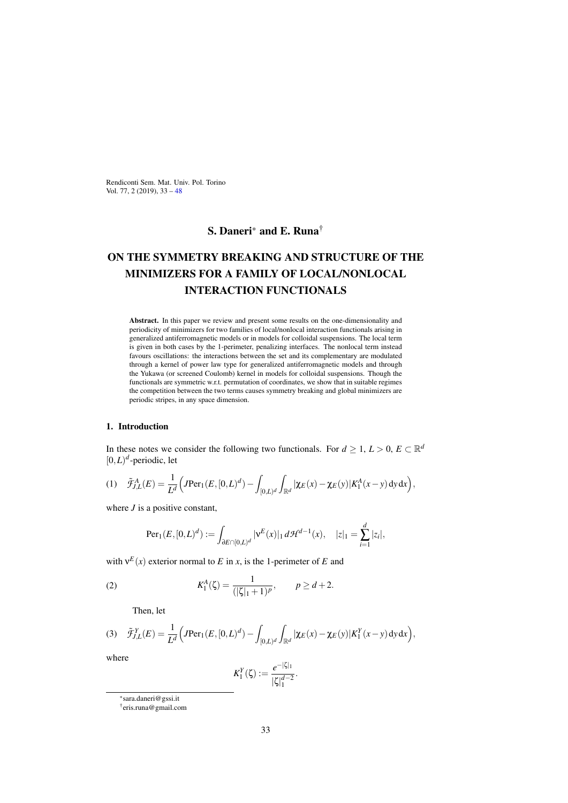Rendiconti Sem. Mat. Univ. Pol. Torino Vol. 77, 2 (2019), 33 – 48

## S. Daneri\* and E. Runa†

# ON THE SYMMETRY BREAKING AND STRUCTURE OF THE MINIMIZERS FOR A FAMILY OF LOCAL/NONLOCAL INTERACTION FUNCTIONALS

Abstract. In this paper we review and present some results on the one-dimensionality and periodicity of minimizers for two families of local/nonlocal interaction functionals arising in generalized antiferromagnetic models or in models for colloidal suspensions. The local term is given in both cases by the 1-perimeter, penalizing interfaces. The nonlocal term instead favours oscillations: the interactions between the set and its complementary are modulated through a kernel of power law type for generalized antiferromagnetic models and through the Yukawa (or screened Coulomb) kernel in models for colloidal suspensions. Though the functionals are symmetric w.r.t. permutation of coordinates, we show that in suitable regimes the competition between the two terms causes symmetry breaking and global minimizers are periodic stripes, in any space dimension.

#### 1. Introduction

In these notes we consider the following two functionals. For  $d \geq 1, L > 0, E \subset \mathbb{R}^d$  $[0,L)^d$ -periodic, let

(1) 
$$
\tilde{\mathcal{F}}_{J,L}^{A}(E) = \frac{1}{L^{d}} \Big( J \text{Per}_1(E, [0, L)^{d}) - \int_{[0, L)^{d}} \int_{\mathbb{R}^{d}} |\chi_{E}(x) - \chi_{E}(y)| K_{1}^{A}(x - y) dy dx \Big),
$$

where *J* is a positive constant,

$$
\text{Per}_1(E,[0,L)^d) := \int_{\partial E \cap [0,L)^d} |\mathbf{v}^E(x)|_1 d\mathcal{H}^{d-1}(x), \quad |z|_1 = \sum_{i=1}^d |z_i|,
$$

with  $v^E(x)$  exterior normal to *E* in *x*, is the 1-perimeter of *E* and

(2) 
$$
K_1^A(\zeta) = \frac{1}{(|\zeta|_1 + 1)^p}, \qquad p \ge d + 2.
$$

Then, let

(3) 
$$
\tilde{\mathcal{F}}_{J,L}^Y(E) = \frac{1}{L^d} \Big( J \text{Per}_1(E, [0, L)^d) - \int_{[0, L)^d} \int_{\mathbb{R}^d} |\chi_E(x) - \chi_E(y)| K_1^Y(x - y) \, dy \, dx \Big),
$$

where

$$
K_1^Y(\zeta) := \frac{e^{-|\zeta|_1}}{|\zeta|_1^{d-2}}.
$$

<sup>\*</sup>sara.daneri@gssi.it

<sup>†</sup>eris.runa@gmail.com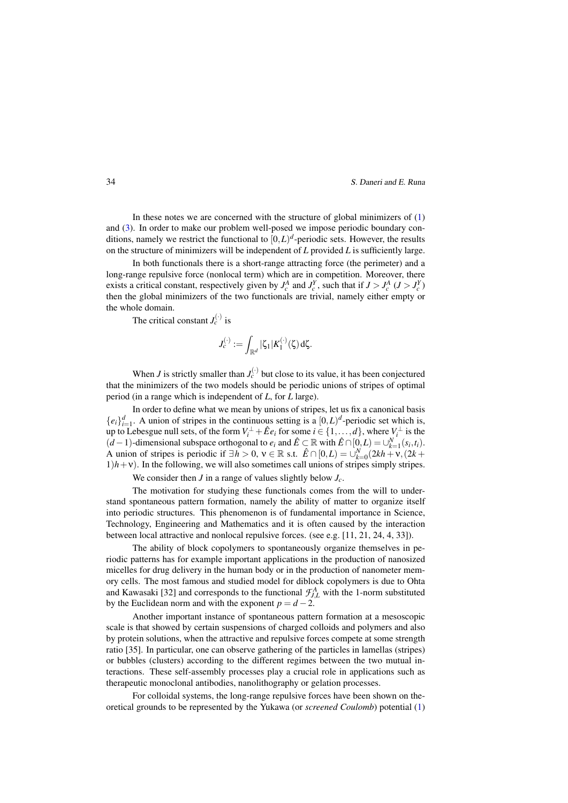In these notes we are concerned with the structure of global minimizers of  $(1)$ and (3). In order to make our problem well-posed we impose periodic boundary conditions, namely we restrict the functional to  $[0, L)^d$ -periodic sets. However, the results on the structure of minimizers will be independent of *L* provided *L* is sufficiently large.

In both functionals there is a short-range attracting force (the perimeter) and a long-range repulsive force (nonlocal term) which are in competition. Moreover, there exists a critical constant, respectively given by  $J_c^A$  and  $J_c^Y$ , such that if  $J > J_c^A$  ( $J > J_c^Y$ ) then the global minimizers of the two functionals are trivial, namely either empty or the whole domain.

The critical constant  $J_c^{(\cdot)}$  is

$$
J_c^{(\cdot)} := \int_{\mathbb{R}^d} |\zeta_1| K_1^{(\cdot)}(\zeta) d\zeta.
$$

When *J* is strictly smaller than  $J_c^{(\cdot)}$  but close to its value, it has been conjectured that the minimizers of the two models should be periodic unions of stripes of optimal period (in a range which is independent of *L*, for *L* large).

In order to define what we mean by unions of stripes, let us fix a canonical basis  ${e_i}_{i=1}^d$ . A union of stripes in the continuous setting is a  $[0,L)^d$ -periodic set which is, up to Lebesgue null sets, of the form  $V_i^{\perp} + \hat{E}e_i$  for some  $i \in \{1, ..., d\}$ , where  $V_i^{\perp}$  is the (*d* − 1)-dimensional subspace orthogonal to  $e_i$  and  $\hat{E}$  ⊂ R with  $\hat{E}$  ∩[0,*L*) = ∪ $_{k=1}^N(s_i,t_i)$ . A union of stripes is periodic if  $\exists h > 0$ ,  $v \in \mathbb{R}$  s.t.  $\hat{E} \cap [0, L) = \bigcup_{k=0}^{N} (2kh + v, (2k +$  $1/h + v$ ). In the following, we will also sometimes call unions of stripes simply stripes.

We consider then *J* in a range of values slightly below *Jc*.

The motivation for studying these functionals comes from the will to understand spontaneous pattern formation, namely the ability of matter to organize itself into periodic structures. This phenomenon is of fundamental importance in Science, Technology, Engineering and Mathematics and it is often caused by the interaction between local attractive and nonlocal repulsive forces. (see e.g. [11, 21, 24, 4, 33]).

The ability of block copolymers to spontaneously organize themselves in periodic patterns has for example important applications in the production of nanosized micelles for drug delivery in the human body or in the production of nanometer memory cells. The most famous and studied model for diblock copolymers is due to Ohta and Kawasaki [32] and corresponds to the functional  $\mathcal{F}_{J,L}^A$  with the 1-norm substituted by the Euclidean norm and with the exponent  $p = d - 2$ .

Another important instance of spontaneous pattern formation at a mesoscopic scale is that showed by certain suspensions of charged colloids and polymers and also by protein solutions, when the attractive and repulsive forces compete at some strength ratio [35]. In particular, one can observe gathering of the particles in lamellas (stripes) or bubbles (clusters) according to the different regimes between the two mutual interactions. These self-assembly processes play a crucial role in applications such as therapeutic monoclonal antibodies, nanolithography or gelation processes.

For colloidal systems, the long-range repulsive forces have been shown on theoretical grounds to be represented by the Yukawa (or *screened Coulomb*) potential (1)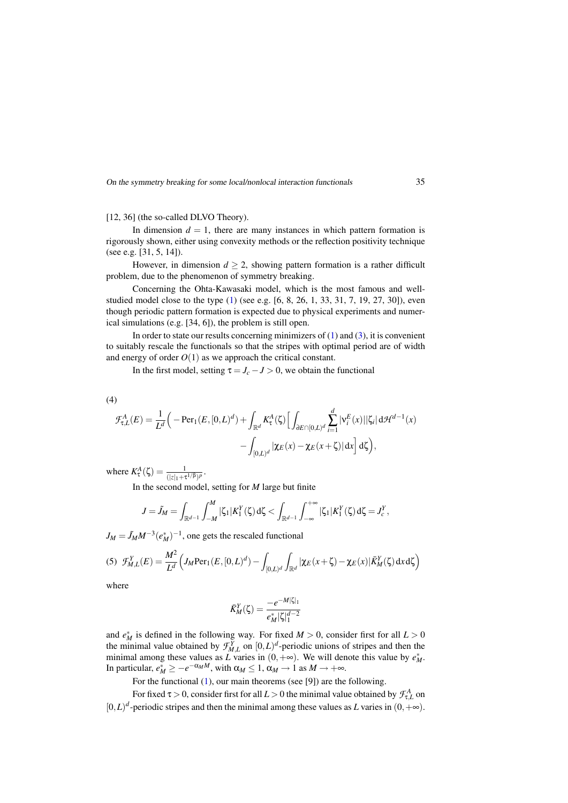[12, 36] (the so-called DLVO Theory).

In dimension  $d = 1$ , there are many instances in which pattern formation is rigorously shown, either using convexity methods or the reflection positivity technique (see e.g. [31, 5, 14]).

However, in dimension  $d \geq 2$ , showing pattern formation is a rather difficult problem, due to the phenomenon of symmetry breaking.

Concerning the Ohta-Kawasaki model, which is the most famous and wellstudied model close to the type (1) (see e.g. [6, 8, 26, 1, 33, 31, 7, 19, 27, 30]), even though periodic pattern formation is expected due to physical experiments and numerical simulations (e.g. [34, 6]), the problem is still open.

In order to state our results concerning minimizers of  $(1)$  and  $(3)$ , it is convenient to suitably rescale the functionals so that the stripes with optimal period are of width and energy of order  $O(1)$  as we approach the critical constant.

In the first model, setting  $\tau = J_c - J > 0$ , we obtain the functional

(4)

$$
\mathcal{F}^A_{\tau,L}(E) = \frac{1}{L^d} \Big( -\text{Per}_1(E, [0, L)^d) + \int_{\mathbb{R}^d} K^A_\tau(\zeta) \Big[ \int_{\partial E \cap [0, L)^d} \sum_{i=1}^d |\mathbf{v}_i^E(x)| |\zeta_i| \, d\mathcal{H}^{d-1}(x) - \int_{[0, L)^d} |\chi_E(x) - \chi_E(x + \zeta)| \, dx \Big] \, d\zeta \Big),
$$

where  $K_{\tau}^{A}(\zeta) = \frac{1}{(|z|_{1} + \tau^{1/\beta})^{p}}$ .

In the second model, setting for *M* large but finite

$$
J = \tilde{J}_M = \int_{\mathbb{R}^{d-1}} \int_{-M}^{M} |\zeta_1| K_1^Y(\zeta) d\zeta < \int_{\mathbb{R}^{d-1}} \int_{-\infty}^{+\infty} |\zeta_1| K_1^Y(\zeta) d\zeta = J_c^Y,
$$

 $J_M = \tilde{J}_M M^{-3} (e_M^*)^{-1}$ , one gets the rescaled functional

(5) 
$$
\mathcal{F}_{M,L}^{Y}(E) = \frac{M^2}{L^d} \left( J_M \text{Per}_1(E, [0, L)^d) - \int_{[0, L)^d} \int_{\mathbb{R}^d} |\chi_E(x + \zeta) - \chi_E(x)| \bar{K}_M^Y(\zeta) dx d\zeta \right)
$$

where

$$
\bar{K}^{Y}_{M}(\zeta) = \frac{-e^{-M|\zeta|_{1}}}{e^{*}_{M}|\zeta|_{1}^{d-2}}
$$

and  $e^*$  is defined in the following way. For fixed  $M > 0$ , consider first for all  $L > 0$ the minimal value obtained by  $\mathcal{F}_{M,L}^{Y}$  on  $[0,L)^{d}$ -periodic unions of stripes and then the minimal among these values as *L* varies in  $(0, +\infty)$ . We will denote this value by  $e^*_{M}$ . In particular,  $e_M^* \ge -e^{-\alpha_M M}$ , with  $\alpha_M \le 1$ ,  $\alpha_M \to 1$  as  $M \to +\infty$ .

For the functional (1), our main theorems (see [9]) are the following.

For fixed  $\tau > 0$ , consider first for all  $L > 0$  the minimal value obtained by  $\mathcal{F}^A_{\tau,L}$  on  $[0,L)^d$ -periodic stripes and then the minimal among these values as *L* varies in  $(0,+\infty)$ .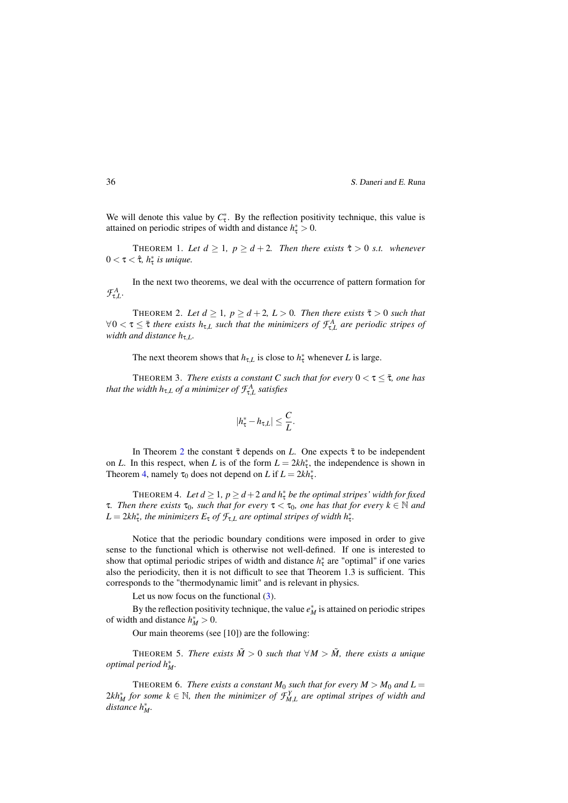We will denote this value by  $C^*_{\tau}$ . By the reflection positivity technique, this value is attained on periodic stripes of width and distance  $h^*$  > 0.

THEOREM 1. Let  $d \geq 1$ ,  $p \geq d+2$ . Then there exists  $\hat{\tau} > 0$  s.t. whenever 0 < τ < τˆ*, h*<sup>∗</sup> <sup>τ</sup> *is unique.*

In the next two theorems, we deal with the occurrence of pattern formation for  $\mathcal{F}^A_{\tau,L}$ .

THEOREM 2. Let  $d \geq 1$ ,  $p \geq d+2$ ,  $L > 0$ . Then there exists  $\bar{\tau} > 0$  such that  $\forall 0 < \tau \leq \bar{\tau}$  *there exists*  $h_{\tau,L}$  *such that the minimizers of*  $\mathcal{F}^A_{\tau,L}$  *are periodic stripes of width and distance h*τ,*L.*

The next theorem shows that  $h_{\tau,L}$  is close to  $h_{\tau}^*$  whenever *L* is large.

THEOREM 3. *There exists a constant C such that for every*  $0 < \tau \leq \overline{\tau}$ *, one has that the width h*<sub>τ,L</sub> *of a minimizer of*  $\mathcal{F}^A_{\tau,L}$  *satisfies* 

$$
|h^*_{\tau}-h_{\tau,L}|\leq \frac{C}{L}.
$$

In Theorem 2 the constant  $\bar{\tau}$  depends on *L*. One expects  $\bar{\tau}$  to be independent on *L*. In this respect, when *L* is of the form  $L = 2kh_{\tau}^*$ , the independence is shown in Theorem 4, namely  $\tau_0$  does not depend on *L* if  $L = 2kh^*_{\tau}$ .

THEOREM 4. Let  $d \geq 1$ ,  $p \geq d+2$  and  $h^*_{\tau}$  be the optimal stripes' width for fixed **τ.** Then there exists  $τ_0$ , such that for every  $τ < τ_0$ , one has that for every  $k ∈ ℕ$  and  $L = 2kh^*_{\tau}$ , the minimizers  $E_{\tau}$  of  $\mathcal{F}_{\tau,L}$  are optimal stripes of width  $h^*_{\tau}$ .

Notice that the periodic boundary conditions were imposed in order to give sense to the functional which is otherwise not well-defined. If one is interested to show that optimal periodic stripes of width and distance  $h^*_{\tau}$  are "optimal" if one varies also the periodicity, then it is not difficult to see that Theorem 1.3 is sufficient. This corresponds to the "thermodynamic limit" and is relevant in physics.

Let us now focus on the functional  $(3)$ .

By the reflection positivity technique, the value  $e_M^*$  is attained on periodic stripes of width and distance  $h_M^* > 0$ .

Our main theorems (see [10]) are the following:

THEOREM 5. *There exists*  $\tilde{M} > 0$  such that  $\forall M > \tilde{M}$ , there exists a unique *optimal period h*∗ *M.*

THEOREM 6. *There exists a constant*  $M_0$  *such that for every*  $M > M_0$  *and*  $L =$  $2kh_M^*$  *for some*  $k \in \mathbb{N}$ , *then the minimizer of*  $\mathcal{F}_{M,L}^Y$  *are optimal stripes of width and distance h*∗ *M.*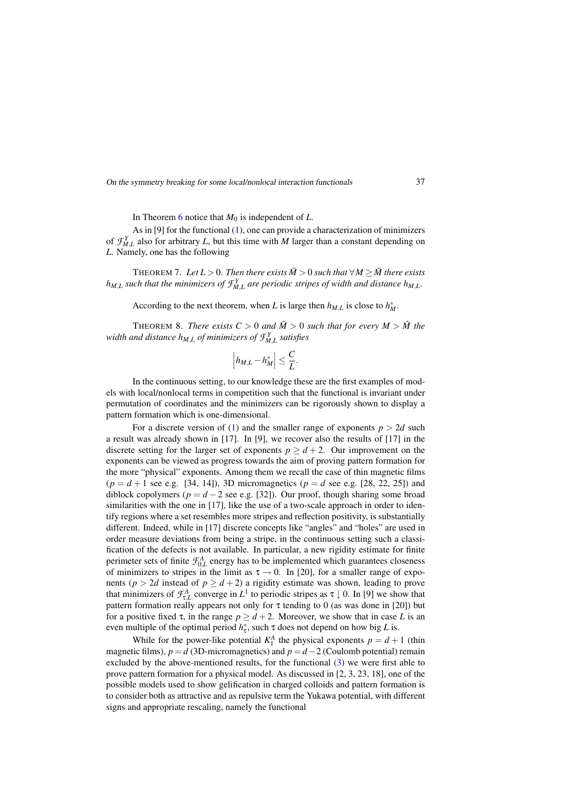In Theorem 6 notice that  $M_0$  is independent of  $L$ .

As in [9] for the functional (1), one can provide a characterization of minimizers of  $\mathcal{F}_{M,L}^Y$  also for arbitrary *L*, but this time with *M* larger than a constant depending on *L*. Namely, one has the following

THEOREM 7. Let  $L > 0$ . Then there exists  $\overline{M} > 0$  such that  $\forall M \geq \overline{M}$  there exists  $h_{M,L}$  *such that the minimizers of*  $\mathcal{F}_{M,L}^Y$  *are periodic stripes of width and distance*  $h_{M,L}$ *.* 

According to the next theorem, when *L* is large then  $h_{M,L}$  is close to  $h_M^*$ .

THEOREM 8. *There exists*  $C > 0$  *and*  $\hat{M} > 0$  *such that for every*  $M > \hat{M}$  *the* width and distance  $h_{M,L}$  of minimizers of  $\mathcal{F}_{M,L}^Y$  satisfies

$$
\left| h_{M,L} - h_M^* \right| \leq \frac{C}{L}.
$$

In the continuous setting, to our knowledge these are the first examples of models with local/nonlocal terms in competition such that the functional is invariant under permutation of coordinates and the minimizers can be rigorously shown to display a pattern formation which is one-dimensional.

For a discrete version of (1) and the smaller range of exponents  $p > 2d$  such a result was already shown in [17]. In [9], we recover also the results of [17] in the discrete setting for the larger set of exponents  $p \ge d+2$ . Our improvement on the exponents can be viewed as progress towards the aim of proving pattern formation for the more "physical" exponents. Among them we recall the case of thin magnetic films  $(p = d + 1 \text{ see e.g. } [34, 14]$ , 3D micromagnetics  $(p = d \text{ see e.g. } [28, 22, 25])$  and diblock copolymers ( $p = d - 2$  see e.g. [32]). Our proof, though sharing some broad similarities with the one in [17], like the use of a two-scale approach in order to identify regions where a set resembles more stripes and reflection positivity, is substantially different. Indeed, while in [17] discrete concepts like "angles" and "holes" are used in order measure deviations from being a stripe, in the continuous setting such a classification of the defects is not available. In particular, a new rigidity estimate for finite perimeter sets of finite  $\mathcal{F}_{0,L}^A$  energy has to be implemented which guarantees closeness of minimizers to stripes in the limit as  $\tau \rightarrow 0$ . In [20], for a smaller range of exponents ( $p > 2d$  instead of  $p \ge d+2$ ) a rigidity estimate was shown, leading to prove that minimizers of  $\mathcal{F}_{\tau,L}^A$  converge in  $L^1$  to periodic stripes as  $\tau \downarrow 0$ . In [9] we show that pattern formation really appears not only for  $\tau$  tending to 0 (as was done in [20]) but for a positive fixed  $\tau$ , in the range  $p \ge d+2$ . Moreover, we show that in case *L* is an even multiple of the optimal period  $h^*$ , such τ does not depend on how big *L* is.

While for the power-like potential  $K_1^A$  the physical exponents  $p = d + 1$  (thin magnetic films),  $p = d$  (3D-micromagnetics) and  $p = d - 2$  (Coulomb potential) remain excluded by the above-mentioned results, for the functional (3) we were first able to prove pattern formation for a physical model. As discussed in [2, 3, 23, 18], one of the possible models used to show gelification in charged colloids and pattern formation is to consider both as attractive and as repulsive term the Yukawa potential, with different signs and appropriate rescaling, namely the functional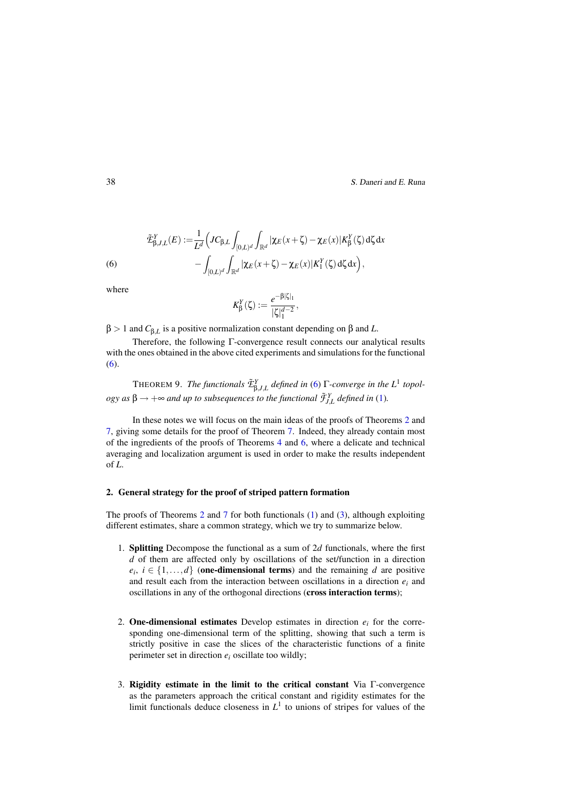(6) 
$$
\tilde{\mathcal{L}}_{\beta,J,L}^{Y}(E) := \frac{1}{L^{d}} \Big(J C_{\beta,L} \int_{[0,L)^{d}} \int_{\mathbb{R}^{d}} |\chi_{E}(x+\zeta) - \chi_{E}(x)| K_{\beta}^{Y}(\zeta) d\zeta dx - \int_{[0,L)^{d}} \int_{\mathbb{R}^{d}} |\chi_{E}(x+\zeta) - \chi_{E}(x)| K_{1}^{Y}(\zeta) d\zeta dx \Big),
$$

where

$$
K_{\beta}^Y(\zeta) := \frac{e^{-\beta|\zeta|_1}}{|\zeta|_1^{d-2}},
$$

β > 1 and *C*β,*<sup>L</sup>* is a positive normalization constant depending on β and *L*.

Therefore, the following Γ-convergence result connects our analytical results with the ones obtained in the above cited experiments and simulations for the functional (6).

**THEOREM 9.** *The functionals*  $\tilde{\mathcal{L}}_{\beta,J,L}^Y$  *defined in* (6)  $\Gamma$ -converge in the  $L^1$  topol- $\log y$  as  $\beta \rightarrow +\infty$  and up to subsequences to the functional  $\tilde{\mathcal{F}}_{J,L}^Y$  defined in (1).

In these notes we will focus on the main ideas of the proofs of Theorems 2 and 7, giving some details for the proof of Theorem 7. Indeed, they already contain most of the ingredients of the proofs of Theorems 4 and 6, where a delicate and technical averaging and localization argument is used in order to make the results independent of *L*.

#### 2. General strategy for the proof of striped pattern formation

The proofs of Theorems 2 and 7 for both functionals (1) and (3), although exploiting different estimates, share a common strategy, which we try to summarize below.

- 1. Splitting Decompose the functional as a sum of 2*d* functionals, where the first *d* of them are affected only by oscillations of the set/function in a direction  $e_i$ ,  $i \in \{1, \ldots, d\}$  (one-dimensional terms) and the remaining *d* are positive and result each from the interaction between oscillations in a direction  $e_i$  and oscillations in any of the orthogonal directions (cross interaction terms);
- 2. **One-dimensional estimates** Develop estimates in direction  $e_i$  for the corresponding one-dimensional term of the splitting, showing that such a term is strictly positive in case the slices of the characteristic functions of a finite perimeter set in direction *ei* oscillate too wildly;
- 3. Rigidity estimate in the limit to the critical constant Via Γ-convergence as the parameters approach the critical constant and rigidity estimates for the limit functionals deduce closeness in  $L<sup>1</sup>$  to unions of stripes for values of the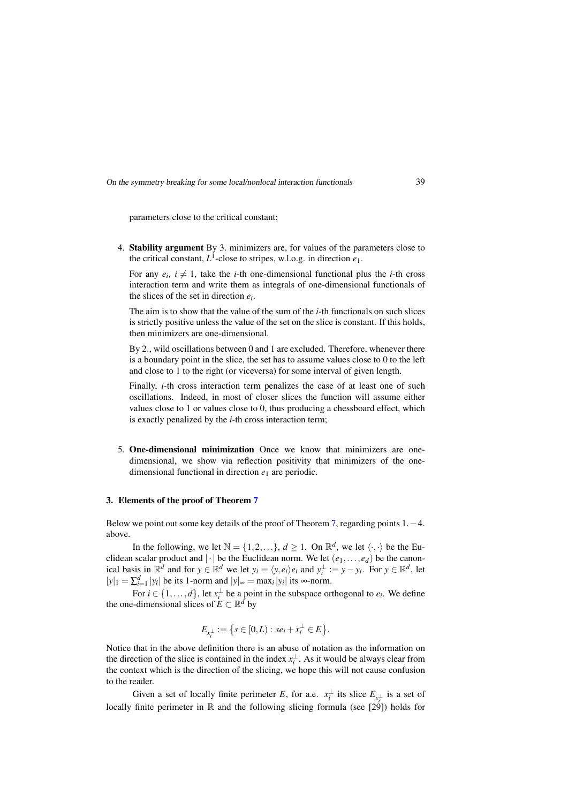parameters close to the critical constant;

4. Stability argument By 3. minimizers are, for values of the parameters close to the critical constant,  $L^1$ -close to stripes, w.l.o.g. in direction  $e_1$ .

For any  $e_i$ ,  $i \neq 1$ , take the *i*-th one-dimensional functional plus the *i*-th cross interaction term and write them as integrals of one-dimensional functionals of the slices of the set in direction *ei*.

The aim is to show that the value of the sum of the *i*-th functionals on such slices is strictly positive unless the value of the set on the slice is constant. If this holds, then minimizers are one-dimensional.

By 2., wild oscillations between 0 and 1 are excluded. Therefore, whenever there is a boundary point in the slice, the set has to assume values close to 0 to the left and close to 1 to the right (or viceversa) for some interval of given length.

Finally, *i*-th cross interaction term penalizes the case of at least one of such oscillations. Indeed, in most of closer slices the function will assume either values close to 1 or values close to 0, thus producing a chessboard effect, which is exactly penalized by the *i*-th cross interaction term;

5. One-dimensional minimization Once we know that minimizers are onedimensional, we show via reflection positivity that minimizers of the onedimensional functional in direction *e*<sup>1</sup> are periodic.

#### 3. Elements of the proof of Theorem 7

Below we point out some key details of the proof of Theorem 7, regarding points 1.−4. above.

In the following, we let  $\mathbb{N} = \{1, 2, ...\}$ ,  $d \ge 1$ . On  $\mathbb{R}^d$ , we let  $\langle \cdot, \cdot \rangle$  be the Euclidean scalar product and  $|\cdot|$  be the Euclidean norm. We let  $(e_1, \ldots, e_d)$  be the canonical basis in  $\mathbb{R}^d$  and for  $y \in \mathbb{R}^d$  we let  $y_i = \langle y, e_i \rangle e_i$  and  $y_i^{\perp} := y - y_i$ . For  $y \in \mathbb{R}^d$ , let  $|y|_1 = \sum_{i=1}^d |y_i|$  be its 1-norm and  $|y|_{∞} = \max_i |y_i|$  its ∞-norm.

For  $i \in \{1, ..., d\}$ , let  $x_i^{\perp}$  be a point in the subspace orthogonal to  $e_i$ . We define the one-dimensional slices of  $E \subset \mathbb{R}^d$  by

$$
E_{x_i^{\perp}} := \{ s \in [0,L) : s e_i + x_i^{\perp} \in E \}.
$$

Notice that in the above definition there is an abuse of notation as the information on the direction of the slice is contained in the index  $x_i^{\perp}$ . As it would be always clear from the context which is the direction of the slicing, we hope this will not cause confusion to the reader.

Given a set of locally finite perimeter *E*, for a.e.  $x_i^{\perp}$  its slice  $E_{x_i^{\perp}}$  is a set of locally finite perimeter in  $\mathbb R$  and the following slicing formula (see [29]) holds for

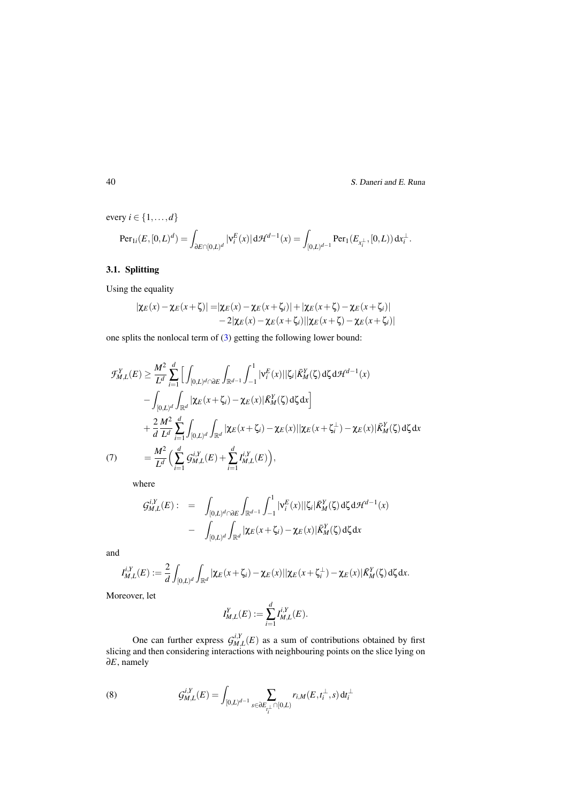every  $i \in \{1, \ldots, d\}$ 

$$
\textup{Per}_{1i}(E, [0,L)^d) = \int_{\partial E \cap [0,L)^d} |\mathsf{v}_i^E(x)| \,\mathrm{d} \mathcal{H}^{d-1}(x) = \int_{[0,L)^{d-1}} \textup{Per}_1(E_{x_i^\perp}, [0,L)) \,\mathrm{d} x_i^\perp.
$$

### 3.1. Splitting

Using the equality

$$
|\chi_E(x) - \chi_E(x+\zeta)| = |\chi_E(x) - \chi_E(x+\zeta_i)| + |\chi_E(x+\zeta) - \chi_E(x+\zeta_i)|
$$
  
-2 $|\chi_E(x) - \chi_E(x+\zeta_i)||\chi_E(x+\zeta) - \chi_E(x+\zeta_i)|$ 

one splits the nonlocal term of (3) getting the following lower bound:

$$
\mathcal{F}_{M,L}^{Y}(E) \geq \frac{M^2}{L^d} \sum_{i=1}^d \Big[ \int_{[0,L)^d \cap \partial E} \int_{\mathbb{R}^{d-1}} \int_{-1}^1 |\mathbf{v}_i^E(x)| |\zeta_i| \bar{K}_M^Y(\zeta) d\zeta d\mathcal{H}^{d-1}(x) \n- \int_{[0,L)^d} \int_{\mathbb{R}^d} |\chi_E(x+\zeta_i) - \chi_E(x)| \bar{K}_M^Y(\zeta) d\zeta dx \Big] \n+ \frac{2}{d} \frac{M^2}{L^d} \sum_{i=1}^d \int_{[0,L)^d} \int_{\mathbb{R}^d} |\chi_E(x+\zeta_i) - \chi_E(x)| |\chi_E(x+\zeta_i) - \chi_E(x)| \bar{K}_M^Y(\zeta) d\zeta dx \n= \frac{M^2}{L^d} \Big( \sum_{i=1}^d \mathcal{G}_{M,L}^{i,Y}(E) + \sum_{i=1}^d I_{M,L}^{i,Y}(E) \Big),
$$

where

$$
G_{M,L}^{i,Y}(E): = \int_{[0,L)^d \cap \partial E} \int_{\mathbb{R}^{d-1}} \int_{-1}^1 |\mathbf{v}_i^E(x)| |\zeta_i| \bar{K}_M^Y(\zeta) d\zeta d\mathcal{H}^{d-1}(x)
$$

$$
- \int_{[0,L)^d} \int_{\mathbb{R}^d} |\chi_E(x+\zeta_i) - \chi_E(x)| \bar{K}_M^Y(\zeta) d\zeta dx
$$

and

$$
I_{M,L}^{i,Y}(E) := \frac{2}{d} \int_{[0,L)^d} \int_{\mathbb{R}^d} |\chi_E(x+\zeta_i) - \chi_E(x)| |\chi_E(x+\zeta_i^{\perp}) - \chi_E(x)| \bar{K}_M^Y(\zeta) d\zeta dx.
$$

Moreover, let

$$
I_{M,L}^Y(E) := \sum_{i=1}^d I_{M,L}^{i,Y}(E).
$$

One can further express  $G_{M,L}^{i,Y}(E)$  as a sum of contributions obtained by first slicing and then considering interactions with neighbouring points on the slice lying on ∂*E*, namely

(8) 
$$
\mathcal{G}_{M,L}^{i,Y}(E) = \int_{[0,L)^{d-1}} \sum_{s \in \partial E_{I_i^{\perp}} \cap [0,L)} r_{i,M}(E,t_i^{\perp},s) dt_i^{\perp}
$$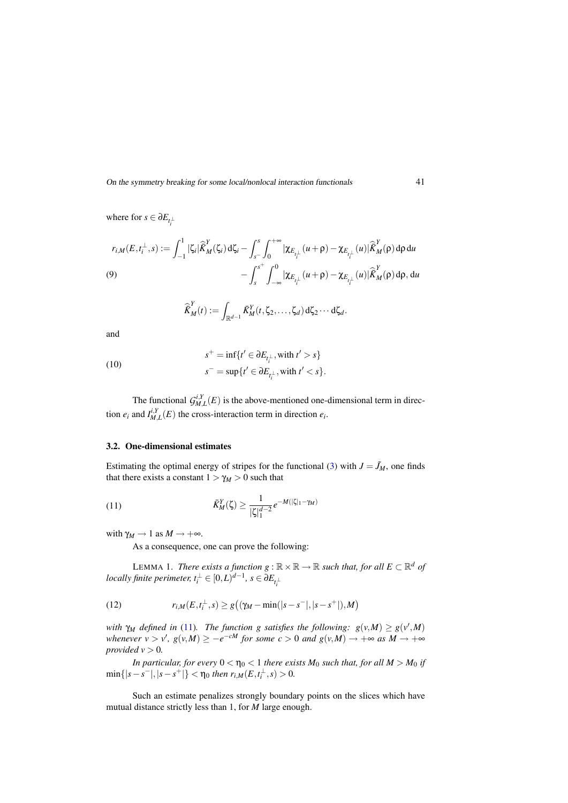where for  $s \in \partial E_{t_i^{\perp}}$ 

$$
r_{i,M}(E,t_i^{\perp},s) := \int_{-1}^1 |\zeta_i| \hat{\overline{K}}_M^Y(\zeta_i) d\zeta_i - \int_{s^-}^s \int_0^{+\infty} |\chi_{E_{t_i^{\perp}}}(u+\rho) - \chi_{E_{t_i^{\perp}}}(u)| \hat{\overline{K}}_M^Y(\rho) d\rho du - \int_{s}^{s^+} \int_{-\infty}^0 |\chi_{E_{t_i^{\perp}}}(u+\rho) - \chi_{E_{t_i^{\perp}}}(u)| \hat{\overline{K}}_M^Y(\rho) d\rho, du
$$

$$
\widehat{\vec{K}}_M^Y(t) := \int_{\mathbb{R}^{d-1}} \vec{K}_M^Y(t, \zeta_2, \dots, \zeta_d) d\zeta_2 \cdots d\zeta_d.
$$

and

(10)  

$$
s^+ = \inf\{t' \in \partial E_{t_i^{\perp}}, \text{with } t' > s\}
$$

$$
s^- = \sup\{t' \in \partial E_{t_i^{\perp}}, \text{with } t' < s\}.
$$

The functional  $\mathcal{G}_{M,L}^{i,Y}(E)$  is the above-mentioned one-dimensional term in direction  $e_i$  and  $I_{M,L}^{i,Y}(E)$  the cross-interaction term in direction  $e_i$ .

#### 3.2. One-dimensional estimates

Estimating the optimal energy of stripes for the functional (3) with  $J = J_M$ , one finds that there exists a constant  $1 > \gamma_M > 0$  such that

(11) 
$$
\bar{K}_{M}^{Y}(\zeta) \geq \frac{1}{|\zeta|_{1}^{d-2}} e^{-M(|\zeta|_{1}-\gamma_{M})}
$$

with  $\gamma_M \to 1$  as  $M \to +\infty$ .

As a consequence, one can prove the following:

LEMMA 1. *There exists a function*  $g : \mathbb{R} \times \mathbb{R} \to \mathbb{R}$  *such that, for all*  $E \subset \mathbb{R}^d$  *of*  $\emph{locally finite perimeter, } t^{\perp}_{i} \in [0,L)^{d-1}, \, s \in \partial E_{t^{\perp}_{i}}$ 

(12) 
$$
r_{i,M}(E,t_i^{\perp},s) \geq g((\gamma_M - \min(|s-s^-|,|s-s^+|),M))
$$

*with*  $\gamma_M$  *defined in* (11)*. The function g satisfies the following:*  $g(v,M) \geq g(v',M)$ *whenever*  $v > v'$ ,  $g(v,M) \ge -e^{-cM}$  *for some*  $c > 0$  *and*  $g(v,M) \to +\infty$  *as*  $M \to +\infty$ *provided*  $v > 0$ *.* 

*In particular, for every*  $0 < \eta_0 < 1$  *there exists*  $M_0$  *such that, for all*  $M > M_0$  *if*  $\min\{|s-s^-|,|s-s^+|\} < \eta_0$  then  $r_{i,M}(E,t_i^{\perp},s) > 0$ .

Such an estimate penalizes strongly boundary points on the slices which have mutual distance strictly less than 1, for *M* large enough.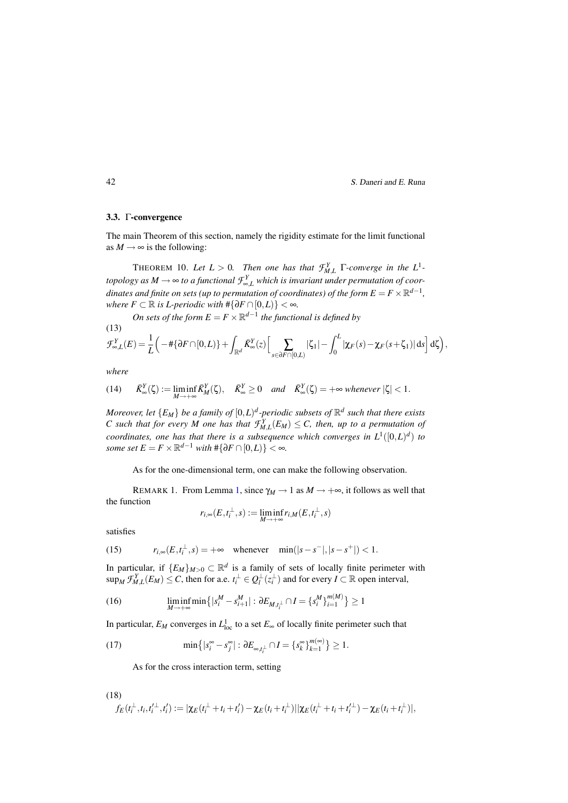#### 3.3. Γ-convergence

The main Theorem of this section, namely the rigidity estimate for the limit functional as  $M \rightarrow \infty$  is the following:

**THEOREM** 10. Let  $L > 0$ . Then one has that  $\mathcal{F}_{M,L}^Y$   $\Gamma$ -converge in the  $L^1$ *topology as M*  $\rightarrow$   $\infty$  *to a functional*  $\mathcal{F}_{\infty,L}^Y$  *which is invariant under permutation of coordinates and finite on sets (up to permutation of coordinates) of the form*  $E = F \times \mathbb{R}^{d-1}$ *, where*  $F \subset \mathbb{R}$  *is L-periodic with*  $\#\{\partial F \cap [0,L)\} < \infty$ *.* 

*On sets of the form*  $E = F \times \mathbb{R}^{d-1}$  *the functional is defined by* (13)

$$
\mathcal{F}_{\infty,L}^Y(E) = \frac{1}{L} \left( -\# \{ \partial F \cap [0,L) \} + \int_{\mathbb{R}^d} \bar{K}_\infty^Y(z) \Big[ \sum_{s \in \partial F \cap [0,L)} |\zeta_1| - \int_0^L |\chi_F(s) - \chi_F(s+\zeta_1)| ds \right] d\zeta \right),
$$

*where*

(14) 
$$
\bar{K}_{\infty}^{Y}(\zeta) := \liminf_{M \to +\infty} \bar{K}_{M}^{Y}(\zeta), \quad \bar{K}_{\infty}^{Y} \ge 0 \quad and \quad \bar{K}_{\infty}^{Y}(\zeta) = +\infty \text{ whenever } |\zeta| < 1.
$$

*Moreover, let*  ${E_M}$  *be a family of*  $[0,L)^d$ -periodic subsets of  $\mathbb{R}^d$  such that there exists *C* such that for every *M* one has that  $\mathcal{F}_{M,L}^{Y}(E_M) \leq C$ , then, up to a permutation of *coordinates, one has that there is a subsequence which converges in*  $L^1([0,L]^d)$  *to some set*  $E = F \times \mathbb{R}^{d-1}$  *with*  $\#\{\partial F \cap [0,L)\} < \infty$ *.* 

As for the one-dimensional term, one can make the following observation.

REMARK 1. From Lemma 1, since  $\gamma_M \to 1$  as  $M \to +\infty$ , it follows as well that the function

$$
r_{i,\infty}(E,t_i^{\perp},s) := \liminf_{M \to +\infty} r_{i,M}(E,t_i^{\perp},s)
$$

satisfies

(15) 
$$
r_{i, \infty}(E, t_i^{\perp}, s) = +\infty \quad \text{whenever} \quad \min(|s - s^-|, |s - s^+|) < 1.
$$

In particular, if  $\{E_M\}_{M>0} \subset \mathbb{R}^d$  is a family of sets of locally finite perimeter with  $\sup_M \mathcal{F}_{M,L}^Y(E_M) \leq C$ , then for a.e.  $t_i^{\perp} \in Q_l^{\perp}(z_i^{\perp})$  and for every  $I \subset \mathbb{R}$  open interval,

(16) 
$$
\liminf_{M \to +\infty} \min \{|s_i^M - s_{i+1}^M| : \partial E_{M,t_i^{\perp}} \cap I = \{s_i^M\}_{i=1}^{m(M)}\} \ge 1
$$

In particular,  $E_M$  converges in  $L^1_{loc}$  to a set  $E_{\infty}$  of locally finite perimeter such that

(17) 
$$
\min\left\{|s_i^{\infty}-s_j^{\infty}|: \partial E_{\infty,t_i^{\perp}}\cap I=\left\{s_k^{\infty}\right\}_{k=1}^{m(\infty)}\right\}\geq 1.
$$

As for the cross interaction term, setting

(18)  

$$
f_E(t_i^{\perp}, t_i, t_i'^{\perp}, t_i') := |\chi_E(t_i^{\perp} + t_i + t_i') - \chi_E(t_i + t_i^{\perp})| |\chi_E(t_i^{\perp} + t_i + t_i'^{\perp}) - \chi_E(t_i + t_i^{\perp})|,
$$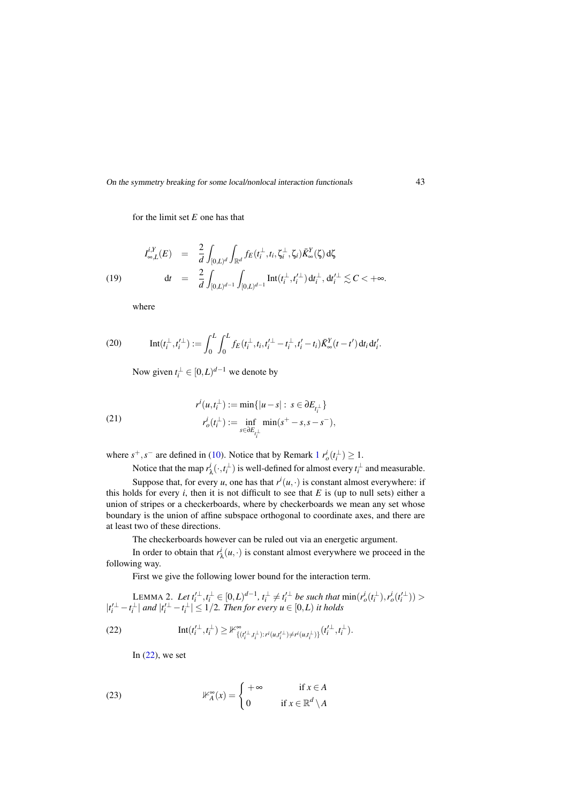for the limit set *E* one has that

(19) 
$$
I_{\infty,L}^{i,Y}(E) = \frac{2}{d} \int_{[0,L)^d} \int_{\mathbb{R}^d} f_E(t_i^{\perp}, t_i, \zeta_i^{\perp}, \zeta_i) \bar{K}_{\infty}^Y(\zeta) d\zeta
$$

$$
dt = \frac{2}{d} \int_{[0,L)^{d-1}} \int_{[0,L)^{d-1}} \text{Int}(t_i^{\perp}, t_i'^{\perp}) dt_i^{\perp}, dt_i'^{\perp} \lesssim C < +\infty.
$$

where

(20) 
$$
\mathrm{Int}(t_i^{\perp}, t_i'^{\perp}) := \int_0^L \int_0^L f_E(t_i^{\perp}, t_i, t_i'^{\perp} - t_i^{\perp}, t_i' - t_i) \bar{K}_{\infty}^Y(t - t') dt_i dt_i'.
$$

Now given  $t_i^{\perp} \in [0, L)^{d-1}$  we denote by

(21) 
$$
r^{i}(u,t_{i}^{\perp}) := \min\{|u-s|: s \in \partial E_{t_{i}^{\perp}}\}
$$

$$
r^{i}_{o}(t_{i}^{\perp}) := \inf_{s \in \partial E_{t_{i}^{\perp}}} \min(s^{+}-s, s-s^{-}),
$$

where  $s^+, s^-$  are defined in (10). Notice that by Remark  $1 r_o^i(t_i^{\perp}) \ge 1$ .

Notice that the map  $r^i_{\lambda}(\cdot, t_i^{\perp})$  is well-defined for almost every  $t_i^{\perp}$  and measurable.

Suppose that, for every *u*, one has that  $r^{i}(u, \cdot)$  is constant almost everywhere: if this holds for every  $i$ , then it is not difficult to see that  $E$  is (up to null sets) either a union of stripes or a checkerboards, where by checkerboards we mean any set whose boundary is the union of affine subspace orthogonal to coordinate axes, and there are at least two of these directions.

The checkerboards however can be ruled out via an energetic argument.

In order to obtain that  $r^i_\lambda(u, \cdot)$  is constant almost everywhere we proceed in the following way.

First we give the following lower bound for the interaction term.

LEMMA 2. Let 
$$
t_i^{\perp}, t_i^{\perp} \in [0, L)^{d-1}
$$
,  $t_i^{\perp} \neq t_i^{\perp}$  be such that  $\min(r_o^i(t_i^{\perp}), r_o^i(t_i^{\perp})) > |t_i^{\perp} - t_i^{\perp}|$  and  $|t_i^{\prime \perp} - t_i^{\perp}| \leq 1/2$ . Then for every  $u \in [0, L)$  it holds

(22) 
$$
\text{Int}(t_i^{\perp}, t_i^{\perp}) \geq \mathbb{1}^{\infty}_{\{(t_i^{\prime\perp}, t_i^{\perp}): r^i(u, t_i^{\prime\perp}) \neq r^i(u, t_i^{\perp})\}}(t_i^{\prime \perp}, t_i^{\perp}).
$$

In  $(22)$ , we set

(23) 
$$
\mathbb{H}_A^{\infty}(x) = \begin{cases} +\infty & \text{if } x \in A \\ 0 & \text{if } x \in \mathbb{R}^d \setminus A \end{cases}
$$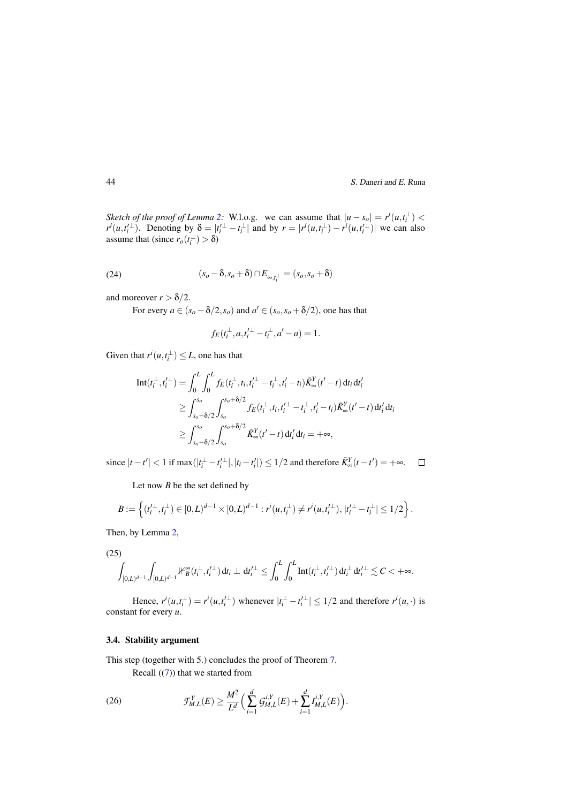*Sketch of the proof of Lemma* 2: W.l.o.g. we can assume that  $|u - s_o| = r^i(u, t_i^{\perp})$  $r^i(u,t_i'^{\perp})$ . Denoting by  $\delta = |t_i'^{\perp} - t_i^{\perp}|$  and by  $r = |r^i(u,t_i^{\perp}) - r^i(u,t_i'^{\perp})|$  we can also assume that (since  $r_o(t_i^{\perp}) > \delta$ )

(24) 
$$
(s_o - \delta, s_o + \delta) \cap E_{\infty, t_i^{\perp}} = (s_o, s_o + \delta)
$$

and moreover  $r > \delta/2$ .

For every  $a \in (s_o - \delta/2, s_o)$  and  $a' \in (s_o, s_o + \delta/2)$ , one has that

$$
f_E(t_i^{\perp}, a, t_i'^{\perp} - t_i^{\perp}, a' - a) = 1.
$$

Given that  $r^i(u,t_i^{\perp}) \leq L$ , one has that

$$
\begin{split} \mathrm{Int}(t_i^\perp,t_i'^\perp) &= \int_0^L \int_0^L f_E(t_i^\perp,t_i,t_i'^\perp - t_i^\perp,t_i'-t_i) \bar{K}_{\infty}^Y(t'-t) \, \mathrm{d}t_i \, \mathrm{d}t_i' \\ &\geq \int_{s_o-\delta/2}^{s_o} \int_{s_o}^{s_o+\delta/2} f_E(t_i^\perp,t_i,t_i'^\perp - t_i^\perp,t_i'-t_i) \bar{K}_{\infty}^Y(t'-t) \, \mathrm{d}t_i' \, \mathrm{d}t_i \\ &\geq \int_{s_o-\delta/2}^{s_o} \int_{s_o}^{s_o+\delta/2} \bar{K}_{\infty}^Y(t'-t) \, \mathrm{d}t_i' \, \mathrm{d}t_i = +\infty, \end{split}
$$

since  $|t - t'| < 1$  if max( $|t_i^\perp - t_i'^\perp|, |t_i - t_i'|$ ) ≤ 1/2 and therefore  $\bar{K}^Y_\infty(t - t') = +\infty$ .

Let now *B* be the set defined by

$$
B:=\left\{(t_i'^\perp,t_i^\perp)\in [0,L)^{d-1}\times [0,L)^{d-1}: r^i(u,t_i^\perp)\neq r^i(u,t_i'^\perp), |t_i'^\perp-t_i^\perp|\leq 1/2\right\}.
$$

Then, by Lemma 2,

(25)

$$
\int_{[0,L)^{d-1}}\int_{[0,L)^{d-1}}\mathbb{1}_{B}^\infty(t_i^\perp,t_i'^\perp)\,\mathrm{d} t_i\perp\,\mathrm{d} t_i'^\perp\leq\int_0^L\int_0^L\mathrm{Int}(t_i^\perp,t_i'^\perp)\,\mathrm{d} t_i^\perp\,\mathrm{d} t_i'^\perp\lesssim C<+\infty.
$$

Hence,  $r^{i}(u,t_i^{\perp}) = r^{i}(u,t_i'^{\perp})$  whenever  $|t_i^{\perp} - t_i'^{\perp}| \leq 1/2$  and therefore  $r^{i}(u,\cdot)$  is constant for every *u*.

### 3.4. Stability argument

This step (together with 5.) concludes the proof of Theorem 7.

Recall  $((7))$  that we started from

(26) 
$$
\mathcal{F}_{M,L}^Y(E) \geq \frac{M^2}{L^d} \Big( \sum_{i=1}^d \mathcal{G}_{M,L}^{i,Y}(E) + \sum_{i=1}^d I_{M,L}^{i,Y}(E) \Big).
$$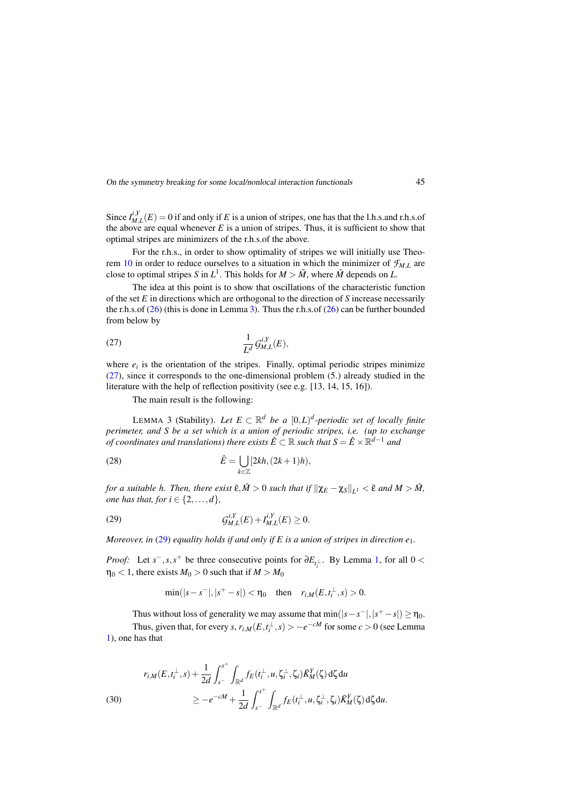Since  $I_{M,L}^{i,Y}(E) = 0$  if and only if *E* is a union of stripes, one has that the l.h.s.and r.h.s.of the above are equal whenever  $E$  is a union of stripes. Thus, it is sufficient to show that optimal stripes are minimizers of the r.h.s.of the above.

For the r.h.s., in order to show optimality of stripes we will initially use Theorem 10 in order to reduce ourselves to a situation in which the minimizer of  $\mathcal{F}_{ML}$  are close to optimal stripes *S* in  $L^1$ . This holds for  $M > \overline{M}$ , where  $\overline{M}$  depends on *L*.

The idea at this point is to show that oscillations of the characteristic function of the set *E* in directions which are orthogonal to the direction of *S* increase necessarily the r.h.s.of  $(26)$  (this is done in Lemma 3). Thus the r.h.s.of  $(26)$  can be further bounded from below by

$$
\frac{1}{L^d} \mathcal{G}_{M,L}^{i,Y}(E),
$$

where  $e_i$  is the orientation of the stripes. Finally, optimal periodic stripes minimize (27), since it corresponds to the one-dimensional problem (5.) already studied in the literature with the help of reflection positivity (see e.g. [13, 14, 15, 16]).

The main result is the following:

LEMMA 3 (Stability). Let  $E \subset \mathbb{R}^d$  be a  $[0,L)^d$ -periodic set of locally finite *perimeter, and S be a set which is a union of periodic stripes, i.e. (up to exchange of coordinates and translations) there exists*  $\hat{E} \subset \mathbb{R}$  *such that*  $S = \hat{E} \times \mathbb{R}^{d-1}$  *and* 

(28) 
$$
\hat{E} = \bigcup_{k \in \mathbb{Z}} [2kh, (2k+1)h),
$$

*for a suitable h. Then, there exist*  $\bar{\epsilon}, \bar{M} > 0$  *such that if*  $\|\chi_E - \chi_S\|_{L^1} < \bar{\epsilon}$  *and*  $M > \bar{M}$ , *one has that, for*  $i \in \{2, \ldots, d\}$ *,* 

(29) 
$$
G_{M,L}^{i,Y}(E) + I_{M,L}^{i,Y}(E) \geq 0.
$$

*Moreover, in* (29) *equality holds if and only if E is a union of stripes in direction e*1*.*

*Proof:* Let *s*<sup>-</sup>,*s*,*s*<sup>+</sup> be three consecutive points for  $\partial E_{t_i}$ . By Lemma 1, for all 0 <  $\eta_0$  < 1, there exists  $M_0 > 0$  such that if  $M > M_0$ 

$$
\min(|s-s^-|,|s^+-s|)<\eta_0\quad \text{then}\quad r_{i,M}(E,t_i^{\perp},s)>0.
$$

Thus without loss of generality we may assume that  $\min(|s-s^-|,|s^+-s|) \ge \eta_0$ . Thus, given that, for every *s*,  $r_{i,M}(E,t_i^{\perp},s) > -e^{-cM}$  for some  $c > 0$  (see Lemma 1), one has that

(30) 
$$
r_{i,M}(E,t_i^{\perp},s) + \frac{1}{2d} \int_{s^-}^{s^+} \int_{\mathbb{R}^d} f_E(t_i^{\perp},u,\zeta_i^{\perp},\zeta_i) \bar{K}_M^Y(\zeta) d\zeta du
$$

$$
\geq -e^{-cM} + \frac{1}{2d} \int_{s^-}^{s^+} \int_{\mathbb{R}^d} f_E(t_i^{\perp},u,\zeta_i^{\perp},\zeta_i) \bar{K}_M^Y(\zeta) d\zeta du.
$$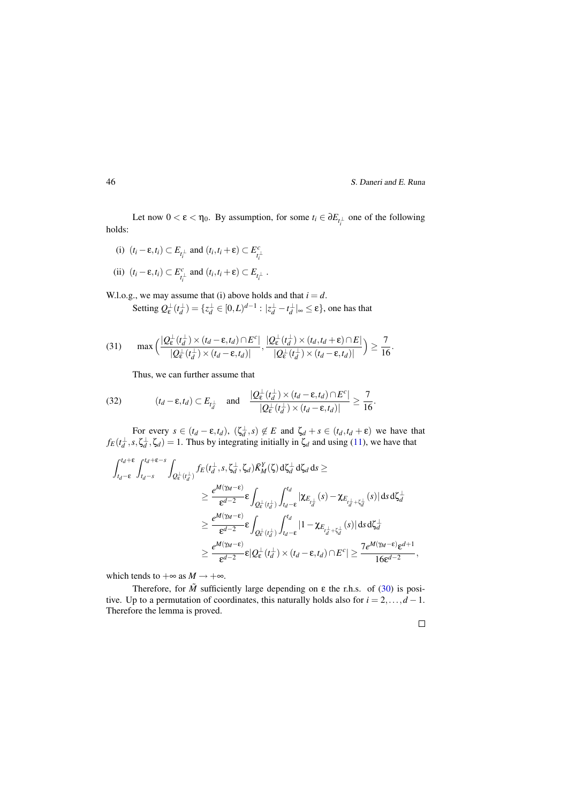Let now  $0 < \varepsilon < \eta_0$ . By assumption, for some  $t_i \in \partial E_{t_i^{\perp}}$  one of the following holds:

- (i)  $(t_i \varepsilon, t_i) \subset E_{t_i^{\perp}}$  and  $(t_i, t_i + \varepsilon) \subset E_{t_i^{\perp}}^c$
- (ii)  $(t_i \varepsilon, t_i) \subset E_{t_i^{\perp}}^c$  and  $(t_i, t_i + \varepsilon) \subset E_{t_i^{\perp}}$ .

W.l.o.g., we may assume that (i) above holds and that  $i = d$ .

Setting  $Q_{\varepsilon}^{\perp}(t_d^{\perp}) = \{z_d^{\perp} \in [0,L)^{d-1} : |z_d^{\perp} - t_d^{\perp}|_{\infty} \le \varepsilon\}$ , one has that

(31) 
$$
\max\left(\frac{|Q_{\varepsilon}^{\perp}(t_d^{\perp}) \times (t_d - \varepsilon, t_d) \cap E^c|}{|Q_{\varepsilon}^{\perp}(t_d^{\perp}) \times (t_d - \varepsilon, t_d)|}, \frac{|Q_{\varepsilon}^{\perp}(t_d^{\perp}) \times (t_d, t_d + \varepsilon) \cap E|}{|Q_{\varepsilon}^{\perp}(t_d^{\perp}) \times (t_d - \varepsilon, t_d)|}\right) \ge \frac{7}{16}.
$$

Thus, we can further assume that

(32) 
$$
(t_d - \varepsilon, t_d) \subset E_{t_d^{\perp}} \quad \text{and} \quad \frac{|Q_{\varepsilon}^{\perp}(t_d^{\perp}) \times (t_d - \varepsilon, t_d) \cap E^c|}{|Q_{\varepsilon}^{\perp}(t_d^{\perp}) \times (t_d - \varepsilon, t_d)|} \ge \frac{7}{16}.
$$

For every  $s \in (t_d - \varepsilon, t_d)$ ,  $(\zeta_d^{\perp}, s) \notin E$  and  $\zeta_d^{\perp} + s \in (t_d, t_d + \varepsilon)$  we have that  $f_E(t_d^{\perp}, s, \zeta_d^{\perp}, \zeta_d) = 1$ . Thus by integrating initially in  $\zeta_d$  and using (11), we have that

$$
\begin{aligned} \int_{t_d-\epsilon}^{t_d+\epsilon} \int_{t_d-s}^{t_d+\epsilon-s} \int_{Q_{\epsilon}^{\perp}(t_d^{\perp})} f_E(t_d^{\perp},s,\zeta_d^{\perp},\zeta_d) \bar{K}^Y_M(\zeta) \,d\zeta_d^{\perp} \,d\zeta_d \,ds \geq \\ & \geq \frac{e^{M(\gamma_M-\epsilon)}}{\epsilon^{d-2}} \epsilon \int_{Q_{\epsilon}^{\perp}(t_d^{\perp})} \int_{t_d-\epsilon}^{t_d} |\chi_{E_{t_d^{\perp}}} (s) - \chi_{E_{t_d^{\perp}+\zeta_d^{\perp}}} (s)| \,ds \,d\zeta_d^{\perp} \\ & \geq \frac{e^{M(\gamma_M-\epsilon)}}{\epsilon^{d-2}} \epsilon \int_{Q_{\epsilon}^{\perp}(t_d^{\perp})} \int_{t_d-\epsilon}^{t_d} |1 - \chi_{E_{t_d^{\perp}+\zeta_d^{\perp}}} (s)| \,ds \,d\zeta_d^{\perp} \\ & \geq \frac{e^{M(\gamma_M-\epsilon)}}{\epsilon^{d-2}} \epsilon |Q_{\epsilon}^{\perp}(t_d^{\perp}) \times (t_d-\epsilon,t_d) \cap E^c| \geq \frac{7e^{M(\gamma_M-\epsilon)}\epsilon^{d+1}}{16\epsilon^{d-2}}, \end{aligned}
$$

which tends to  $+\infty$  as  $M \to +\infty$ .

Therefore, for  $\tilde{M}$  sufficiently large depending on  $\varepsilon$  the r.h.s. of (30) is positive. Up to a permutation of coordinates, this naturally holds also for  $i = 2, \ldots, d - 1$ . Therefore the lemma is proved.

 $\Box$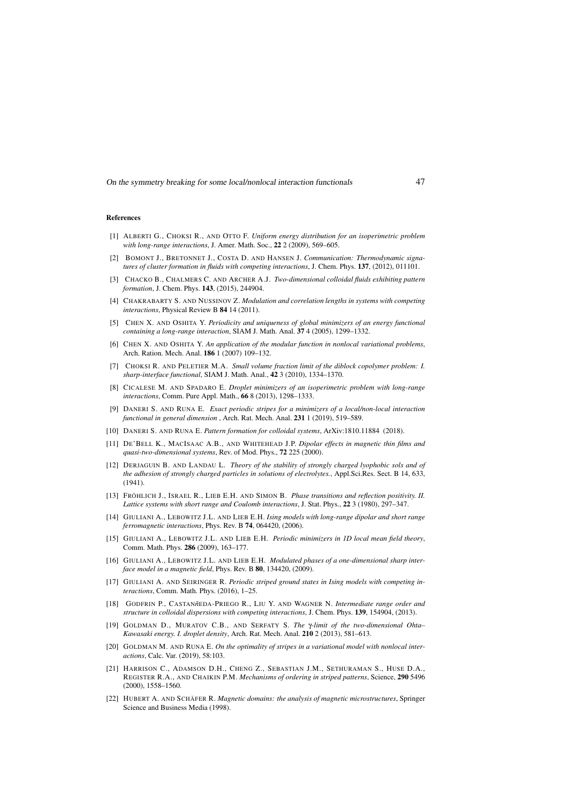#### References

- [1] ALBERTI G., CHOKSI R., AND OTTO F. *Uniform energy distribution for an isoperimetric problem with long-range interactions*, J. Amer. Math. Soc., 22 2 (2009), 569–605.
- [2] BOMONT J., BRETONNET J., COSTA D. AND HANSEN J. *Communication: Thermodynamic signatures of cluster formation in fluids with competing interactions*, J. Chem. Phys. 137, (2012), 011101.
- [3] CHACKO B., CHALMERS C. AND ARCHER A.J. *Two-dimensional colloidal fluids exhibiting pattern formation*, J. Chem. Phys. 143, (2015), 244904.
- [4] CHAKRABARTY S. AND NUSSINOV Z. *Modulation and correlation lengths in systems with competing interactions*, Physical Review B 84 14 (2011).
- [5] CHEN X. AND OSHITA Y. *Periodicity and uniqueness of global minimizers of an energy functional containing a long-range interaction*, SIAM J. Math. Anal. 37 4 (2005), 1299–1332.
- [6] CHEN X. AND OSHITA Y. *An application of the modular function in nonlocal variational problems*, Arch. Ration. Mech. Anal. 186 1 (2007) 109–132.
- [7] CHOKSI R. AND PELETIER M.A. *Small volume fraction limit of the diblock copolymer problem: I. sharp-interface functional*, SIAM J. Math. Anal., 42 3 (2010), 1334–1370.
- [8] CICALESE M. AND SPADARO E. *Droplet minimizers of an isoperimetric problem with long-range interactions*, Comm. Pure Appl. Math., 66 8 (2013), 1298–1333.
- [9] DANERI S. AND RUNA E. *Exact periodic stripes for a minimizers of a local/non-local interaction functional in general dimension* , Arch. Rat. Mech. Anal. 231 1 (2019), 519–589.
- [10] DANERI S. AND RUNA E. *Pattern formation for colloidal systems*, ArXiv:1810.11884 (2018).
- [11] DE'BELL K., MACISAAC A.B., AND WHITEHEAD J.P. *Dipolar effects in magnetic thin films and quasi-two-dimensional systems*, Rev. of Mod. Phys., 72 225 (2000).
- [12] DERJAGUIN B. AND LANDAU L. *Theory of the stability of strongly charged lyophobic sols and of the adhesion of strongly charged particles in solutions of electrolytes.*, Appl.Sci.Res. Sect. B 14, 633,  $(1941)$
- [13] FRÖHLICH J., ISRAEL R., LIEB E.H. AND SIMON B. *Phase transitions and reflection positivity. II. Lattice systems with short range and Coulomb interactions*, J. Stat. Phys., 22 3 (1980), 297–347.
- [14] GIULIANI A., LEBOWITZ J.L. AND LIEB E.H. *Ising models with long-range dipolar and short range ferromagnetic interactions*, Phys. Rev. B 74, 064420, (2006).
- [15] GIULIANI A., LEBOWITZ J.L. AND LIEB E.H. *Periodic minimizers in 1D local mean field theory*, Comm. Math. Phys. 286 (2009), 163–177.
- [16] GIULIANI A., LEBOWITZ J.L. AND LIEB E.H. *Modulated phases of a one-dimensional sharp interface model in a magnetic field*, Phys. Rev. B 80, 134420, (2009).
- [17] GIULIANI A. AND SEIRINGER R. *Periodic striped ground states in Ising models with competing interactions*, Comm. Math. Phys. (2016), 1–25.
- [18] GODFRIN P., CASTAN*n*˜EDA-PRIEGO R., LIU Y. AND WAGNER N. *Intermediate range order and structure in colloidal dispersions with competing interactions*, J. Chem. Phys. 139, 154904, (2013).
- [19] GOLDMAN D., MURATOV C.B., AND SERFATY S. *The* γ*-limit of the two-dimensional Ohta– Kawasaki energy. I. droplet density*, Arch. Rat. Mech. Anal. 210 2 (2013), 581–613.
- [20] GOLDMAN M. AND RUNA E. *On the optimality of stripes in a variational model with nonlocal interactions*, Calc. Var. (2019), 58:103.
- [21] HARRISON C., ADAMSON D.H., CHENG Z., SEBASTIAN J.M., SETHURAMAN S., HUSE D.A., REGISTER R.A., AND CHAIKIN P.M. *Mechanisms of ordering in striped patterns*, Science, 290 5496 (2000), 1558–1560.
- [22] HUBERT A. AND SCHÄFER R. *Magnetic domains: the analysis of magnetic microstructures*, Springer Science and Business Media (1998).